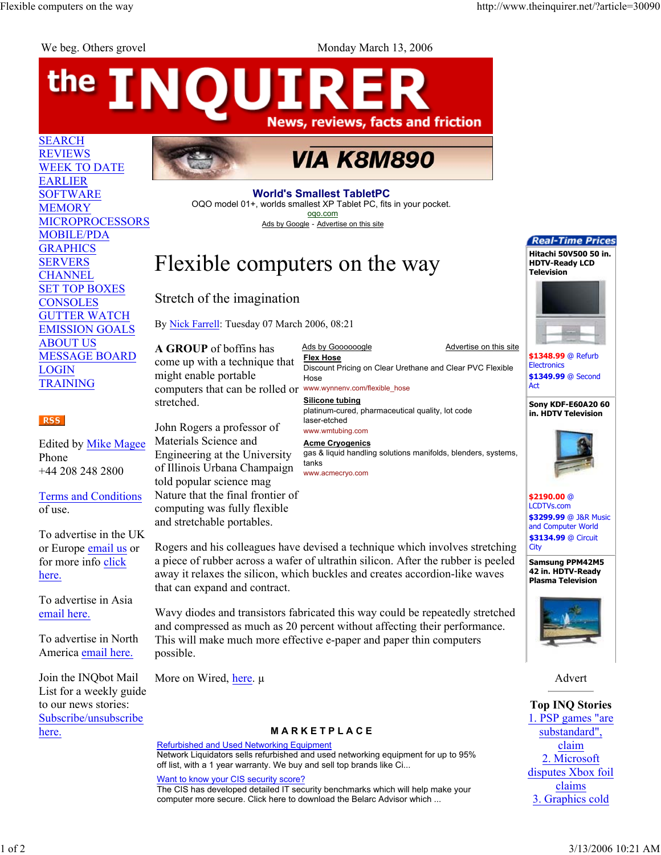the

SEARCH REVIEWS

EARLIER SOFTWARE **MEMORY** 

**GRAPHICS** SERVERS **CHANNEL** 

**CONSOLES** 

ABOUT US

LOGIN TRAINING

Phone

RSS<sup>1</sup>

We beg. Others grovel Monday March 13, 2006

## **INOUIRE News, reviews, facts and friction VIA K8M890** WEEK TO DATE **World's Smallest TabletPC** OQO model 01+, worlds smallest XP Tablet PC, fits in your pocket. oqo.com MICROPROCESSORS Ads by Google - Advertise on this site MOBILE/PDA Flexible computers on the way SET TOP BOXES Stretch of the imagination GUTTER WATCH By Nick Farrell: Tuesday 07 March 2006, 08:21 EMISSION GOALS **A GROUP** of boffins has Ads by Goooooogle Advertise on this site MESSAGE BOARD **Flex Hose** come up with a technique that Discount Pricing on Clear Urethane and Clear PVC Flexible might enable portable Hose Act computers that can be rolled or www.wynnenv.com/flexible\_hose **Silicone tubing** stretched. platinum-cured, pharmaceutical quality, lot code laser-etched John Rogers a professor of www.wmtubing.com Materials Science and Edited by Mike Magee **Acme Cryogenics** Engineering at the University gas & liquid handling solutions manifolds, blenders, systems, tanks of Illinois Urbana Champaign +44 208 248 2800 www.acmecryo.com told popular science mag Nature that the final frontier of

Terms and Conditions of use.

To advertise in the UK or Europe email us or for more info click here.

To advertise in Asia email here.

To advertise in North America email here.

Join the INQbot Mail List for a weekly guide to our news stories: Subscribe/unsubscribe here.

Rogers and his colleagues have devised a technique which involves stretching a piece of rubber across a wafer of ultrathin silicon. After the rubber is peeled away it relaxes the silicon, which buckles and creates accordion-like waves that can expand and contract.

Wavy diodes and transistors fabricated this way could be repeatedly stretched and compressed as much as 20 percent without affecting their performance. This will make much more effective e-paper and paper thin computers possible.

More on Wired, here. μ

computing was fully flexible and stretchable portables.

## **M A R K E T P L A C E**

Refurbished and Used Networking Equipment Network Liquidators sells refurbished and used networking equipment for up to 95% off list, with a 1 year warranty. We buy and sell top brands like Ci...

Want to know your CIS security score? The CIS has developed detailed IT security benchmarks which will help make your computer more secure. Click here to download the Belarc Advisor which ...



**\$1348.99** @ Refurb **Electronics \$1349.99** @ Second

## **Sony KDF-E60A20 60 in. HDTV Television**



**\$2190.00** @ LCDTVs.com **\$3299.99** @ J&R Music and Computer World **\$3134.99** @ Circuit **City** 

**Samsung PPM42M5 42 in. HDTV-Ready Plasma Television**



Advert

**Top INQ Stories** 1. PSP games "are substandard", claim 2. Microsoft disputes Xbox foil claims 3. Graphics cold